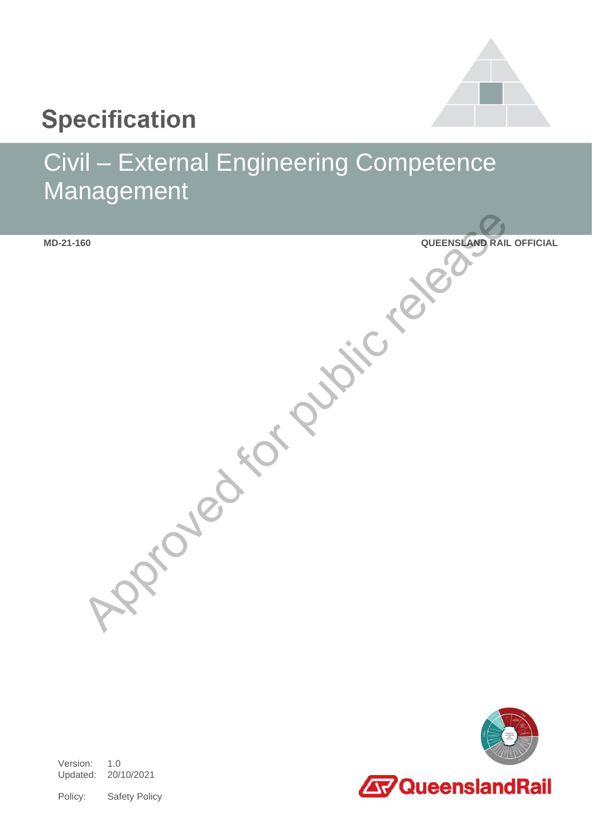

# **Specification**

# Civil – External Engineering Competence Management

**MD-21-160 QUEENSLAND RAIL OFFICIAL** Approved for public release which



Version: 1.0 Updated: 20/10/2021

Policy: Safety Policy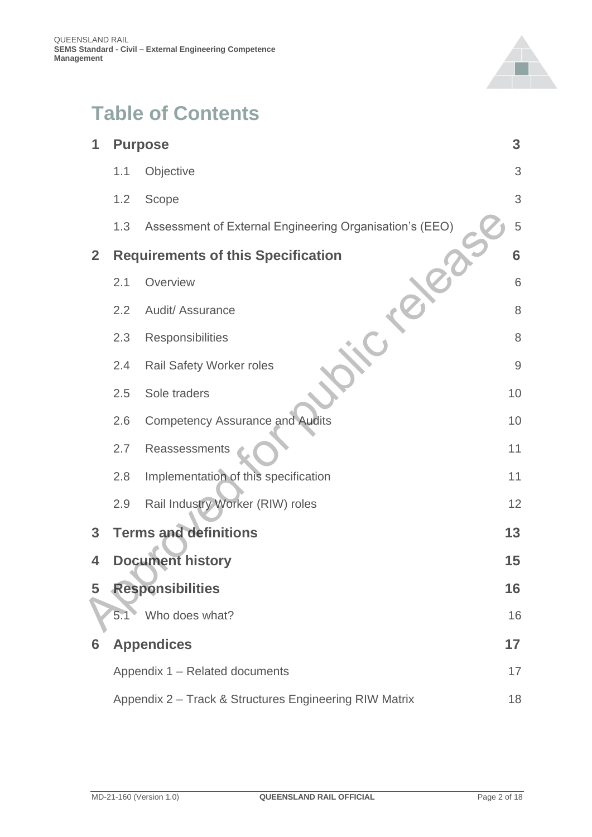

### **Table of Contents**

| 1            | <b>Purpose</b>                                         |                                                         |                |  |
|--------------|--------------------------------------------------------|---------------------------------------------------------|----------------|--|
|              | 1.1                                                    | Objective                                               | 3              |  |
|              | 1.2                                                    | Scope                                                   | 3              |  |
|              | 1.3                                                    | Assessment of External Engineering Organisation's (EEO) | 5              |  |
| $\mathbf{2}$ |                                                        | <b>Requirements of this Specification</b>               | 6              |  |
|              | 2.1                                                    | Overview                                                | 6              |  |
|              | 2.2                                                    | Audit/ Assurance                                        | 8              |  |
|              | 2.3                                                    | Responsibilities                                        | 8              |  |
|              | 2.4                                                    | Rail Safety Worker roles                                | $\overline{9}$ |  |
|              | 2.5                                                    | Sole traders                                            | 10             |  |
|              | 2.6                                                    | <b>Competency Assurance and Audits</b>                  | 10             |  |
|              | 2.7                                                    | Reassessments                                           | 11             |  |
|              | 2.8                                                    | Implementation of this specification                    | 11             |  |
|              | 2.9                                                    | Rail Industry Worker (RIW) roles                        | 12             |  |
| 3            |                                                        | <b>Terms and definitions</b>                            | 13             |  |
| 4            |                                                        | <b>Document history</b>                                 | 15             |  |
| 5            |                                                        | <b>Responsibilities</b>                                 | 16             |  |
|              | 5.1                                                    | Who does what?                                          | 16             |  |
| 6            |                                                        | <b>Appendices</b>                                       | 17             |  |
|              |                                                        | Appendix 1 - Related documents                          | 17             |  |
|              | Appendix 2 - Track & Structures Engineering RIW Matrix |                                                         |                |  |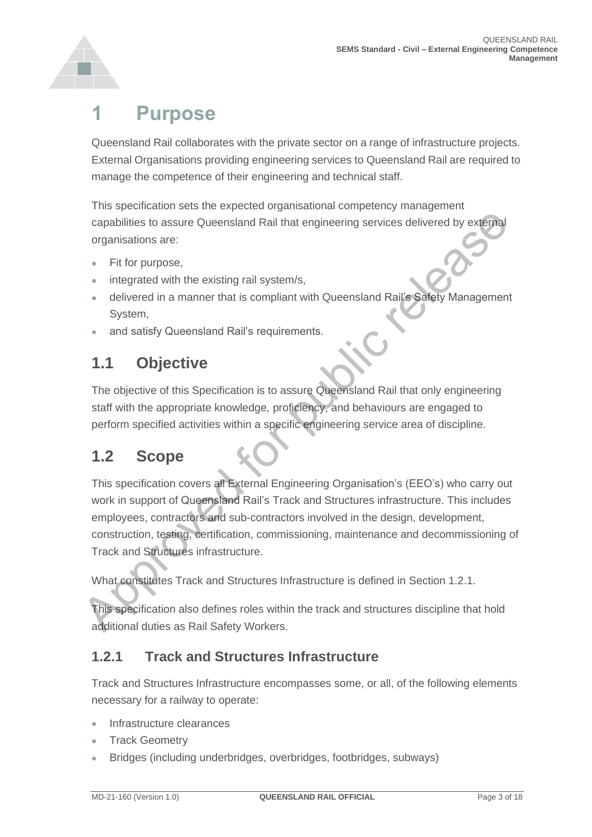

### <span id="page-2-0"></span>**1 Purpose**

Queensland Rail collaborates with the private sector on a range of infrastructure projects. External Organisations providing engineering services to Queensland Rail are required to manage the competence of their engineering and technical staff.

This specification sets the expected organisational competency management capabilities to assure Queensland Rail that engineering services delivered by external organisations are:

- Fit for purpose,
- integrated with the existing rail system/s,
- delivered in a manner that is compliant with Queensland Rail's Safety Management System,
- and satisfy Queensland Rail's requirements.

#### <span id="page-2-1"></span>**1.1 Objective**

The objective of this Specification is to assure Queensland Rail that only engineering staff with the appropriate knowledge, proficiency, and behaviours are engaged to perform specified activities within a specific engineering service area of discipline.

#### <span id="page-2-2"></span>**1.2 Scope**

This specification covers all External Engineering Organisation's (EEO's) who carry out work in support of Queensland Rail's Track and Structures infrastructure. This includes employees, contractors and sub-contractors involved in the design, development, construction, testing, certification, commissioning, maintenance and decommissioning of Track and Structures infrastructure. Comparison and Rail that engineering services delivered by external<br>organisations are:<br>
• Fit for purpose,<br>
• integrated with the existing rail system/s,<br>
• divirced in a mannor that is compliant with Queensland Rail's Saf

What constitutes Track and Structures Infrastructure is defined in Section 1.2.1.

This specification also defines roles within the track and structures discipline that hold additional duties as Rail Safety Workers.

#### **1.2.1 Track and Structures Infrastructure**

Track and Structures Infrastructure encompasses some, or all, of the following elements necessary for a railway to operate:

- Infrastructure clearances
- **Track Geometry**
- Bridges (including underbridges, overbridges, footbridges, subways)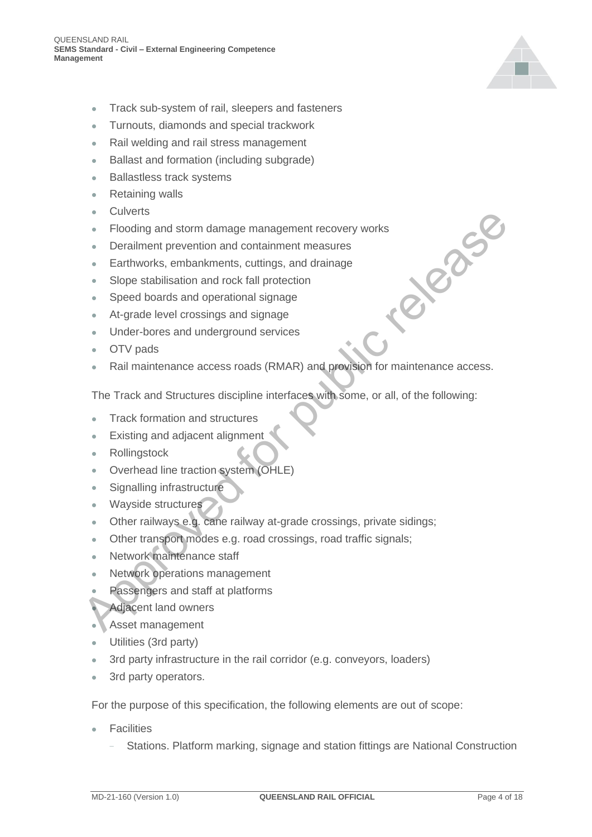

- Track sub-system of rail, sleepers and fasteners
- Turnouts, diamonds and special trackwork
- Rail welding and rail stress management
- Ballast and formation (including subgrade)
- Ballastless track systems
- Retaining walls
- **Culverts**
- Flooding and storm damage management recovery works
- Derailment prevention and containment measures
- Earthworks, embankments, cuttings, and drainage
- Slope stabilisation and rock fall protection
- Speed boards and operational signage
- At-grade level crossings and signage
- Under-bores and underground services
- OTV pads
- Rail maintenance access roads (RMAR) and provision for maintenance access. Approaches For a Final and the Fooding and storm damage management recovery works<br>
Approaches and operation and containment measures<br>
At-grade lowel crossings and signage<br>
At-grade level crossings and signage<br>
At-grade lev

The Track and Structures discipline interfaces with some, or all, of the following:

- Track formation and structures
- Existing and adjacent alignment
- Rollingstock
- Overhead line traction system (OHLE)
- Signalling infrastructure
- Wayside structures
- Other railways e.g. cane railway at-grade crossings, private sidings;
- Other transport modes e.g. road crossings, road traffic signals;
- Network maintenance staff
- Network operations management
- Passengers and staff at platforms
- Adjacent land owners
- Asset management
- Utilities (3rd party)
- 3rd party infrastructure in the rail corridor (e.g. conveyors, loaders)
- 3rd party operators.

For the purpose of this specification, the following elements are out of scope:

- **Facilities** 
	- Stations. Platform marking, signage and station fittings are National Construction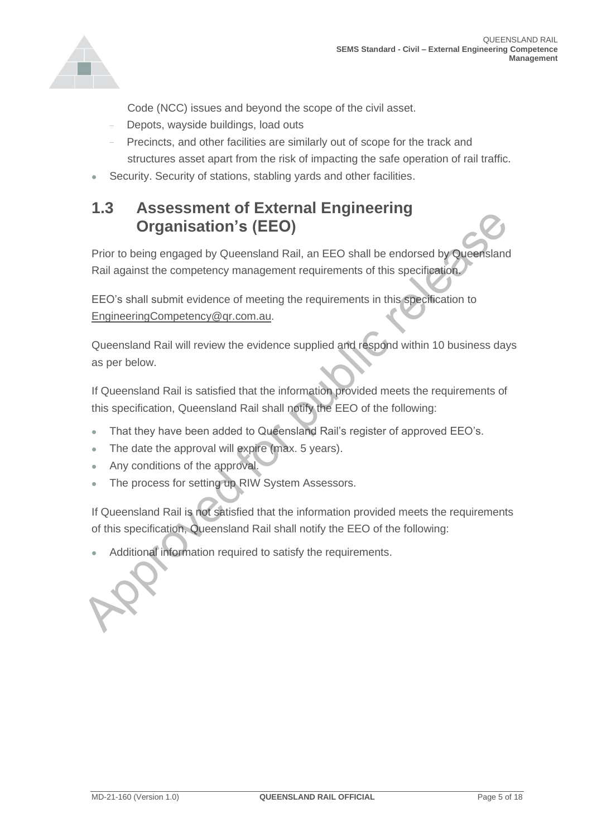

Code (NCC) issues and beyond the scope of the civil asset.

- Depots, wayside buildings, load outs
- Precincts, and other facilities are similarly out of scope for the track and structures asset apart from the risk of impacting the safe operation of rail traffic.
- Security. Security of stations, stabling yards and other facilities.

#### <span id="page-4-0"></span>**1.3 Assessment of External Engineering Organisation's (EEO)**

Prior to being engaged by Queensland Rail, an EEO shall be endorsed by Queensland Rail against the competency management requirements of this specification. Approved the public relationship of the matter of the section of the content of this specification.<br>
Approximation of the complete of meeting the requirements of this specification to<br>
EEO's shall submit evidence of meetin

EEO's shall submit evidence of meeting the requirements in this specification to EngineeringCompetency@qr.com.au.

Queensland Rail will review the evidence supplied and respond within 10 business days as per below.

If Queensland Rail is satisfied that the information provided meets the requirements of this specification, Queensland Rail shall notify the EEO of the following:

- That they have been added to Queensland Rail's register of approved EEO's.
- The date the approval will expire (max. 5 years).
- Any conditions of the approval.
- The process for setting up RIW System Assessors.

If Queensland Rail is not satisfied that the information provided meets the requirements of this specification, Queensland Rail shall notify the EEO of the following:

Additional information required to satisfy the requirements.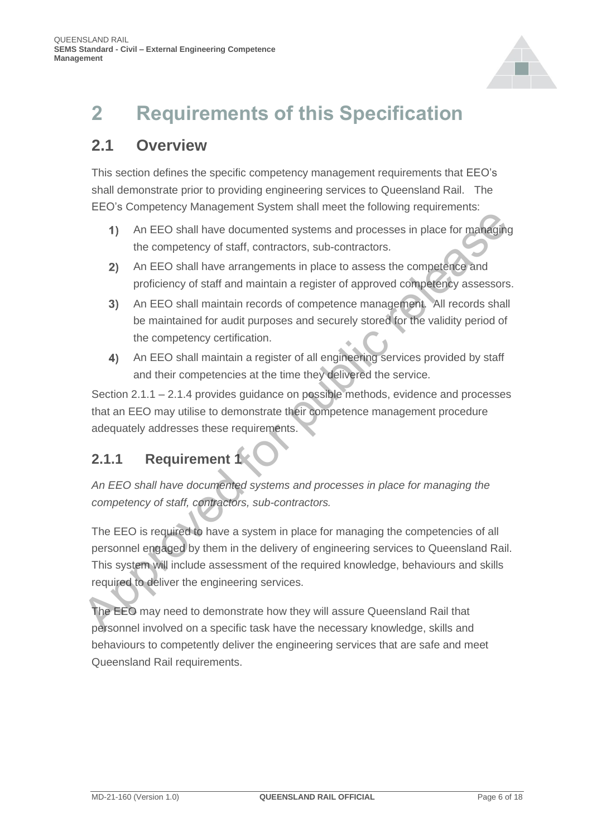

## <span id="page-5-0"></span>**2 Requirements of this Specification**

#### <span id="page-5-1"></span>**2.1 Overview**

This section defines the specific competency management requirements that EEO's shall demonstrate prior to providing engineering services to Queensland Rail. The EEO's Competency Management System shall meet the following requirements:

- An EEO shall have documented systems and processes in place for managing the competency of staff, contractors, sub-contractors.
- An EEO shall have arrangements in place to assess the competence and proficiency of staff and maintain a register of approved competency assessors.
- An EEO shall maintain records of competence management. All records shall be maintained for audit purposes and securely stored for the validity period of the competency certification.
- An EEO shall maintain a register of all engineering services provided by staff and their competencies at the time they delivered the service.

Section 2.1.1 – 2.1.4 provides guidance on possible methods, evidence and processes that an EEO may utilise to demonstrate their competence management procedure adequately addresses these requirements.

#### **2.1.1 Requirement 1**

*An EEO shall have documented systems and processes in place for managing the competency of staff, contractors, sub-contractors.*

The EEO is required to have a system in place for managing the competencies of all personnel engaged by them in the delivery of engineering services to Queensland Rail. This system will include assessment of the required knowledge, behaviours and skills required to deliver the engineering services. 19 An EEO shall have documented systems and processes in place for managing<br>
19 An EEO shall have documented systems and processes in place for managing<br>
19 An EEO shall have arrangements in place to assess the compation o

The EEO may need to demonstrate how they will assure Queensland Rail that personnel involved on a specific task have the necessary knowledge, skills and behaviours to competently deliver the engineering services that are safe and meet Queensland Rail requirements.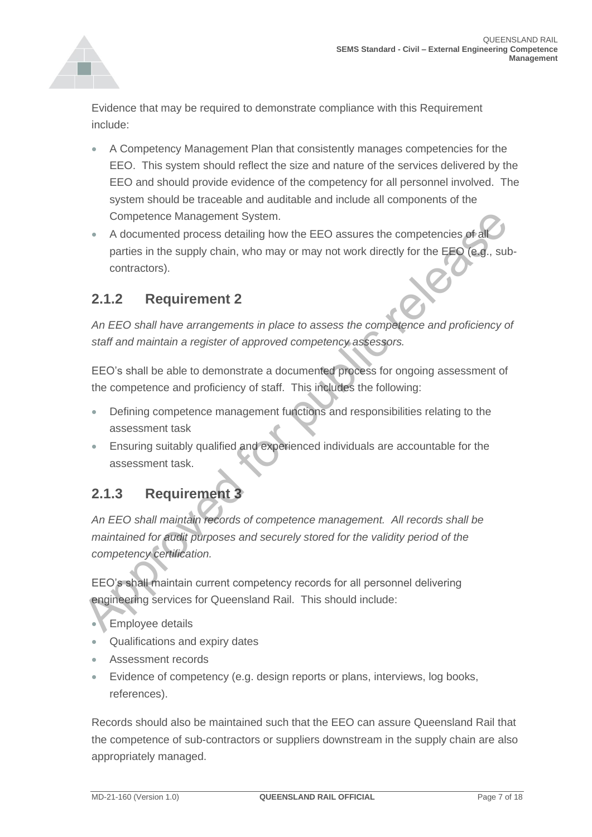

Evidence that may be required to demonstrate compliance with this Requirement include:

- A Competency Management Plan that consistently manages competencies for the EEO. This system should reflect the size and nature of the services delivered by the EEO and should provide evidence of the competency for all personnel involved. The system should be traceable and auditable and include all components of the Competence Management System.
- A documented process detailing how the EEO assures the competencies of a parties in the supply chain, who may or may not work directly for the EEO (e.g., subcontractors). Competence Management System.<br>
A documented process detailing how the EEO assures the competencies of a<br>
parties in the supply chain, who may or may not work directly for the EEO (e.g., sub<br>
contractors).<br>
2.1.2 Requiremen

#### **2.1.2 Requirement 2**

*An EEO shall have arrangements in place to assess the competence and proficiency of staff and maintain a register of approved competency assessors.*

EEO's shall be able to demonstrate a documented process for ongoing assessment of the competence and proficiency of staff. This includes the following:

- Defining competence management functions and responsibilities relating to the assessment task
- Ensuring suitably qualified and experienced individuals are accountable for the assessment task.

#### **2.1.3 Requirement 3**

*An EEO shall maintain records of competence management. All records shall be maintained for audit purposes and securely stored for the validity period of the competency certification.*

EEO's shall maintain current competency records for all personnel delivering engineering services for Queensland Rail. This should include:

- Employee details
- Qualifications and expiry dates
- Assessment records
- Evidence of competency (e.g. design reports or plans, interviews, log books, references).

Records should also be maintained such that the EEO can assure Queensland Rail that the competence of sub-contractors or suppliers downstream in the supply chain are also appropriately managed.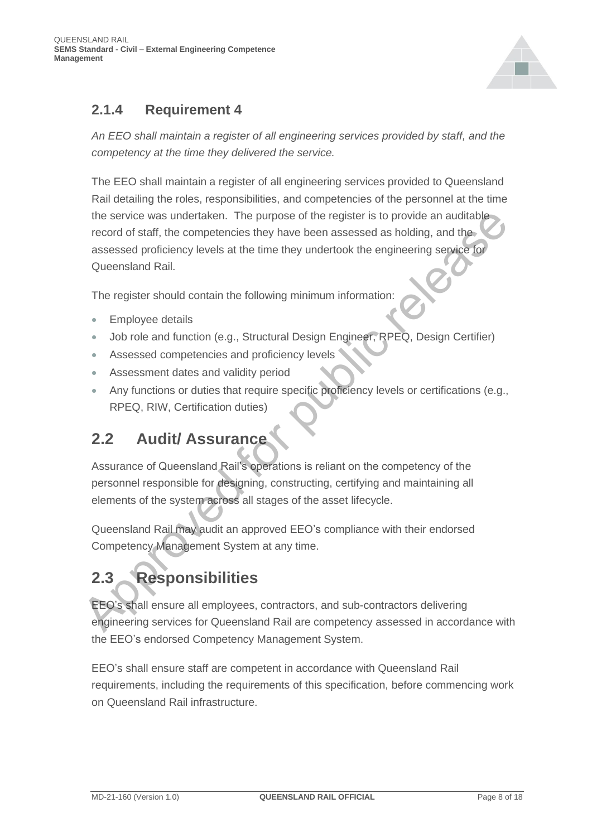

#### **2.1.4 Requirement 4**

*An EEO shall maintain a register of all engineering services provided by staff, and the competency at the time they delivered the service.*

The EEO shall maintain a register of all engineering services provided to Queensland Rail detailing the roles, responsibilities, and competencies of the personnel at the time the service was undertaken. The purpose of the register is to provide an auditable record of staff, the competencies they have been assessed as holding, and the assessed proficiency levels at the time they undertook the engineering service for Queensland Rail. the service was undertaken. The purpose of the register is to provide an auditable<br>
record of staff, the competencies they have been assessed as holding, and the<br>
record of staff, the competencies they have been assessed a

The register should contain the following minimum information:

- Employee details
- Job role and function (e.g., Structural Design Engineer, RPEQ, Design Certifier)
- Assessed competencies and proficiency levels
- Assessment dates and validity period
- Any functions or duties that require specific proficiency levels or certifications (e.g., RPEQ, RIW, Certification duties)

### <span id="page-7-0"></span>**2.2 Audit/ Assurance**

Assurance of Queensland Rail's operations is reliant on the competency of the personnel responsible for designing, constructing, certifying and maintaining all elements of the system across all stages of the asset lifecycle.

Queensland Rail may audit an approved EEO's compliance with their endorsed Competency Management System at any time.

### <span id="page-7-1"></span>**2.3 Responsibilities**

EEO's shall ensure all employees, contractors, and sub-contractors delivering engineering services for Queensland Rail are competency assessed in accordance with the EEO's endorsed Competency Management System.

EEO's shall ensure staff are competent in accordance with Queensland Rail requirements, including the requirements of this specification, before commencing work on Queensland Rail infrastructure.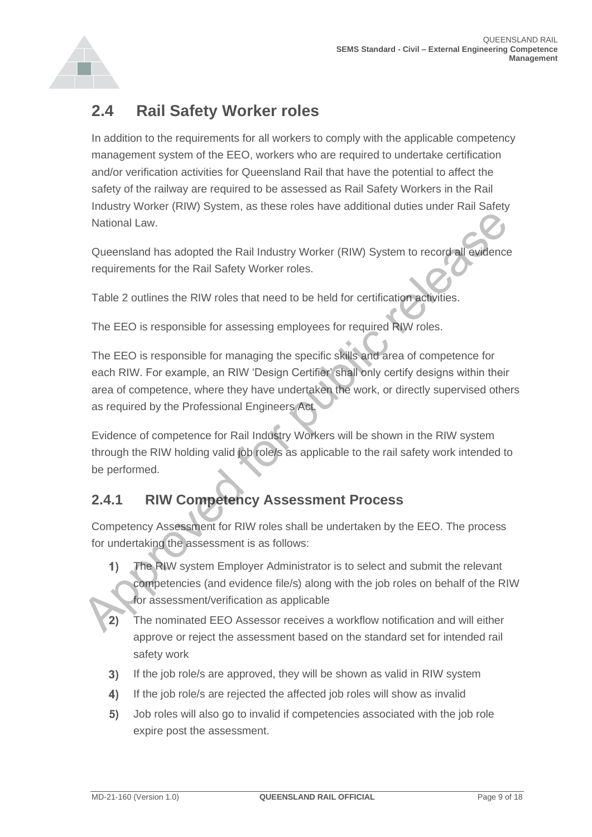

#### <span id="page-8-0"></span>**2.4 Rail Safety Worker roles**

In addition to the requirements for all workers to comply with the applicable competency management system of the EEO, workers who are required to undertake certification and/or verification activities for Queensland Rail that have the potential to affect the safety of the railway are required to be assessed as Rail Safety Workers in the Rail Industry Worker (RIW) System, as these roles have additional duties under Rail Safety National Law.

Queensland has adopted the Rail Industry Worker (RIW) System to record all evidence requirements for the Rail Safety Worker roles.

Table 2 outlines the RIW roles that need to be held for certification activities.

The EEO is responsible for assessing employees for required RIW roles.

The EEO is responsible for managing the specific skills and area of competence for each RIW. For example, an RIW 'Design Certifier' shall only certify designs within their area of competence, where they have undertaken the work, or directly supervised others as required by the Professional Engineers Act. National Law.<br>
Cueensland has adopted the Rail Industry Worker (RIW) System to record all evidence<br>
requirements for the Rail Safety Worker roles.<br>
Table 2 outlines the RIW roles that need to be held for certification acti

Evidence of competence for Rail Industry Workers will be shown in the RIW system through the RIW holding valid job role/s as applicable to the rail safety work intended to be performed.

#### **2.4.1 RIW Competency Assessment Process**

Competency Assessment for RIW roles shall be undertaken by the EEO. The process for undertaking the assessment is as follows:

- The RIW system Employer Administrator is to select and submit the relevant competencies (and evidence file/s) along with the job roles on behalf of the RIW for assessment/verification as applicable
- The nominated EEO Assessor receives a workflow notification and will either approve or reject the assessment based on the standard set for intended rail safety work
- $3)$ If the job role/s are approved, they will be shown as valid in RIW system
- $4)$ If the job role/s are rejected the affected job roles will show as invalid
- $5)$ Job roles will also go to invalid if competencies associated with the job role expire post the assessment.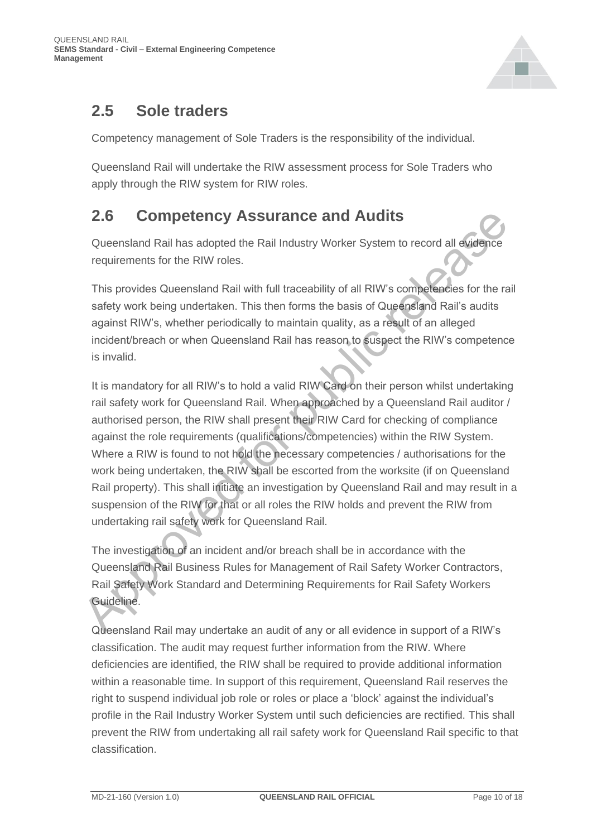

#### <span id="page-9-0"></span>**2.5 Sole traders**

Competency management of Sole Traders is the responsibility of the individual.

Queensland Rail will undertake the RIW assessment process for Sole Traders who apply through the RIW system for RIW roles.

#### <span id="page-9-1"></span>**2.6 Competency Assurance and Audits**

Queensland Rail has adopted the Rail Industry Worker System to record all evidence requirements for the RIW roles.

This provides Queensland Rail with full traceability of all RIW's competencies for the rail safety work being undertaken. This then forms the basis of Queensland Rail's audits against RIW's, whether periodically to maintain quality, as a result of an alleged incident/breach or when Queensland Rail has reason to suspect the RIW's competence is invalid.

It is mandatory for all RIW's to hold a valid RIW Card on their person whilst undertaking rail safety work for Queensland Rail. When approached by a Queensland Rail auditor / authorised person, the RIW shall present their RIW Card for checking of compliance against the role requirements (qualifications/competencies) within the RIW System. Where a RIW is found to not hold the necessary competencies / authorisations for the work being undertaken, the RIW shall be escorted from the worksite (if on Queensland Rail property). This shall initiate an investigation by Queensland Rail and may result in a suspension of the RIW for that or all roles the RIW holds and prevent the RIW from undertaking rail safety work for Queensland Rail. **2.6 Competency Assurance and Audits**<br>Queensland Rail has adopted the Rail Industry Worker System to record all swidence<br>requirements for the RIW roles.<br>This provides Queensland Rail with full traceability of all RIW's co

The investigation of an incident and/or breach shall be in accordance with the Queensland Rail Business Rules for Management of Rail Safety Worker Contractors, Rail Safety Work Standard and Determining Requirements for Rail Safety Workers Guideline.

Queensland Rail may undertake an audit of any or all evidence in support of a RIW's classification. The audit may request further information from the RIW. Where deficiencies are identified, the RIW shall be required to provide additional information within a reasonable time. In support of this requirement, Queensland Rail reserves the right to suspend individual job role or roles or place a 'block' against the individual's profile in the Rail Industry Worker System until such deficiencies are rectified. This shall prevent the RIW from undertaking all rail safety work for Queensland Rail specific to that classification.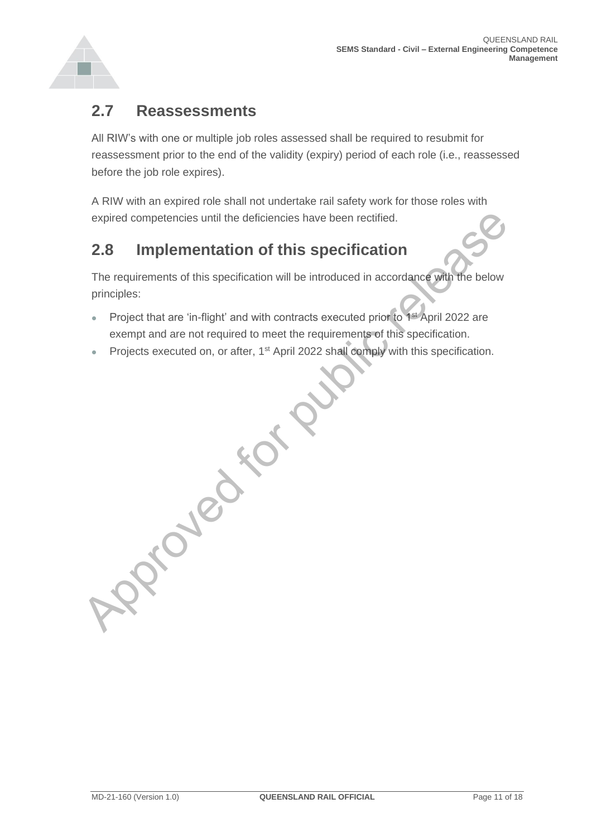

#### <span id="page-10-0"></span>**2.7 Reassessments**

All RIW's with one or multiple job roles assessed shall be required to resubmit for reassessment prior to the end of the validity (expiry) period of each role (i.e., reassessed before the job role expires).

A RIW with an expired role shall not undertake rail safety work for those roles with expired competencies until the deficiencies have been rectified.

#### <span id="page-10-1"></span>**2.8 Implementation of this specification**

The requirements of this specification will be introduced in accordance with the below principles:

- Project that are 'in-flight' and with contracts executed prior to 1st April 2022 are exempt and are not required to meet the requirements of this specification. **Proved for Public Release**
- Projects executed on, or after, 1<sup>st</sup> April 2022 shall comply with this specification.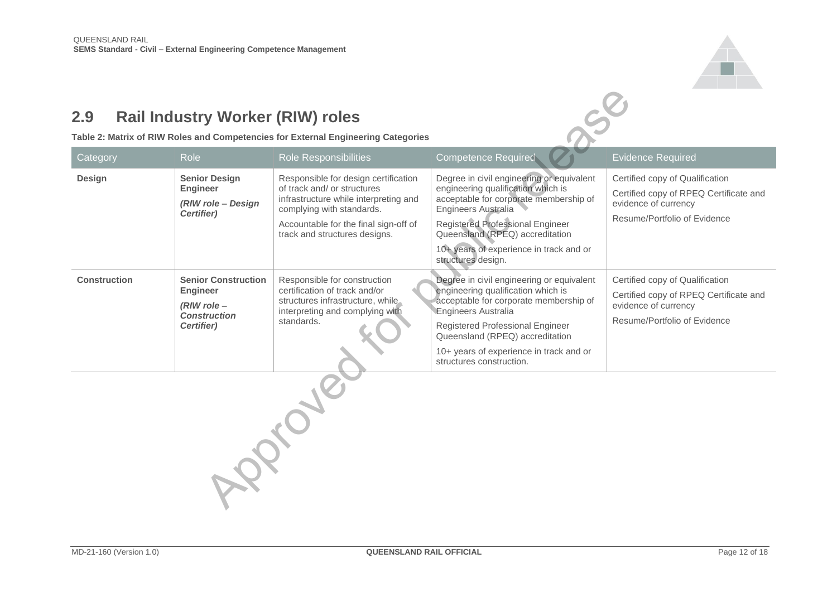

#### <span id="page-11-0"></span>**2.9 Rail Industry Worker (RIW) roles**

|                     | (RIW role - Design<br>Certifier)                                                                      | of track and/ or structures<br>infrastructure while interpreting and<br>complying with standards.<br>Accountable for the final sign-off of<br>track and structures designs. | engineering qualification which is<br>acceptable for corporate membership of<br>Engineers Australia<br>Registered Professional Engineer<br>Queensland (RPEQ) accreditation<br>10+ years of experience in track and or<br>structures design.                                                           | Certified copy of RPEQ Certificate and<br>evidence of currency<br>Resume/Portfolio of Evidence                                    |
|---------------------|-------------------------------------------------------------------------------------------------------|-----------------------------------------------------------------------------------------------------------------------------------------------------------------------------|-------------------------------------------------------------------------------------------------------------------------------------------------------------------------------------------------------------------------------------------------------------------------------------------------------|-----------------------------------------------------------------------------------------------------------------------------------|
| <b>Construction</b> | <b>Senior Construction</b><br><b>Engineer</b><br>$(RIW$ role $-$<br><b>Construction</b><br>Certifier) | Responsible for construction<br>certification of track and/or<br>structures infrastructure, while<br>interpreting and complying with<br>standards.                          | Degree in civil engineering or equivalent<br>engineering qualification which is<br>acceptable for corporate membership of<br><b>Engineers Australia</b><br>Registered Professional Engineer<br>Queensland (RPEQ) accreditation<br>10+ years of experience in track and or<br>structures construction. | Certified copy of Qualification<br>Certified copy of RPEQ Certificate and<br>evidence of currency<br>Resume/Portfolio of Evidence |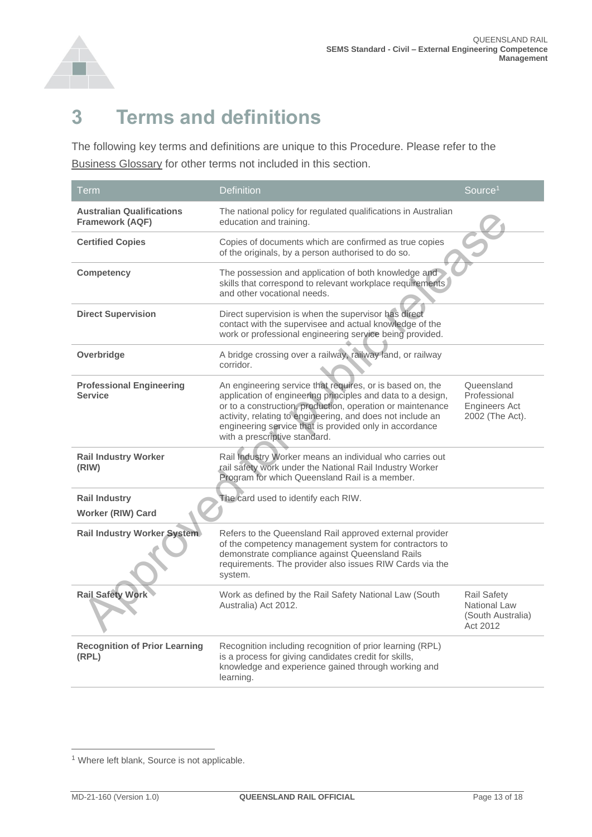

### <span id="page-12-0"></span>**3 Terms and definitions**

The following key terms and definitions are unique to this Procedure. Please refer to the [Business Glossary](https://queenslandrail.sharepoint.com/ResourceCentre/PolicyRegulation/IMF/Lists/BusinessGlossary/AllItems.aspx) for other terms not included in this section.

| Term                                                | <b>Definition</b>                                                                                                                                                                                                                                                                                                                                | Source <sup>1</sup>                                            |
|-----------------------------------------------------|--------------------------------------------------------------------------------------------------------------------------------------------------------------------------------------------------------------------------------------------------------------------------------------------------------------------------------------------------|----------------------------------------------------------------|
| <b>Australian Qualifications</b><br>Framework (AQF) | The national policy for regulated qualifications in Australian<br>education and training.                                                                                                                                                                                                                                                        |                                                                |
| <b>Certified Copies</b>                             | Copies of documents which are confirmed as true copies<br>of the originals, by a person authorised to do so.                                                                                                                                                                                                                                     |                                                                |
| Competency                                          | The possession and application of both knowledge and<br>skills that correspond to relevant workplace requirements<br>and other vocational needs.                                                                                                                                                                                                 |                                                                |
| <b>Direct Supervision</b>                           | Direct supervision is when the supervisor has direct<br>contact with the supervisee and actual knowledge of the<br>work or professional engineering service being provided.                                                                                                                                                                      |                                                                |
| Overbridge                                          | A bridge crossing over a railway, railway land, or railway<br>corridor.                                                                                                                                                                                                                                                                          |                                                                |
| <b>Professional Engineering</b><br><b>Service</b>   | An engineering service that requires, or is based on, the<br>application of engineering principles and data to a design,<br>or to a construction, production, operation or maintenance<br>activity, relating to engineering, and does not include an<br>engineering service that is provided only in accordance<br>with a prescriptive standard. | Queensland<br>Professional<br>Engineers Act<br>2002 (The Act). |
| <b>Rail Industry Worker</b><br>(RIW)                | Rail Industry Worker means an individual who carries out<br>rail safety work under the National Rail Industry Worker<br>Program for which Queensland Rail is a member.                                                                                                                                                                           |                                                                |
| <b>Rail Industry</b><br>Worker (RIW) Card           | The card used to identify each RIW.                                                                                                                                                                                                                                                                                                              |                                                                |
| Rail Industry Worker System                         | Refers to the Queensland Rail approved external provider<br>of the competency management system for contractors to<br>demonstrate compliance against Queensland Rails<br>requirements. The provider also issues RIW Cards via the<br>system.                                                                                                     |                                                                |
| <b>Rail Safety Work</b>                             | Work as defined by the Rail Safety National Law (South<br>Australia) Act 2012.                                                                                                                                                                                                                                                                   | Rail Safety<br>National Law<br>(South Australia)<br>Act 2012   |
| <b>Recognition of Prior Learning</b><br>(RPL)       | Recognition including recognition of prior learning (RPL)<br>is a process for giving candidates credit for skills,<br>knowledge and experience gained through working and<br>learning.                                                                                                                                                           |                                                                |

<sup>&</sup>lt;sup>1</sup> Where left blank, Source is not applicable.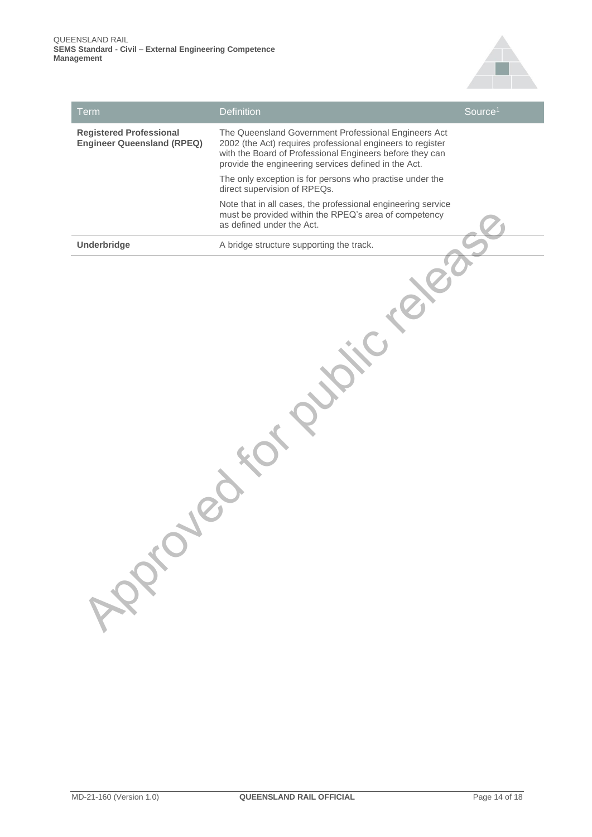

| <b>Term</b>                                                         | <b>Definition</b>                                                                                                                                                                                                                      | Source <sup>1</sup> |
|---------------------------------------------------------------------|----------------------------------------------------------------------------------------------------------------------------------------------------------------------------------------------------------------------------------------|---------------------|
| <b>Registered Professional</b><br><b>Engineer Queensland (RPEQ)</b> | The Queensland Government Professional Engineers Act<br>2002 (the Act) requires professional engineers to register<br>with the Board of Professional Engineers before they can<br>provide the engineering services defined in the Act. |                     |
|                                                                     | The only exception is for persons who practise under the<br>direct supervision of RPEQs.                                                                                                                                               |                     |
|                                                                     | Note that in all cases, the professional engineering service<br>must be provided within the RPEQ's area of competency<br>as defined under the Act.                                                                                     |                     |
| Underbridge                                                         | A bridge structure supporting the track.                                                                                                                                                                                               |                     |
| APPIC                                                               |                                                                                                                                                                                                                                        |                     |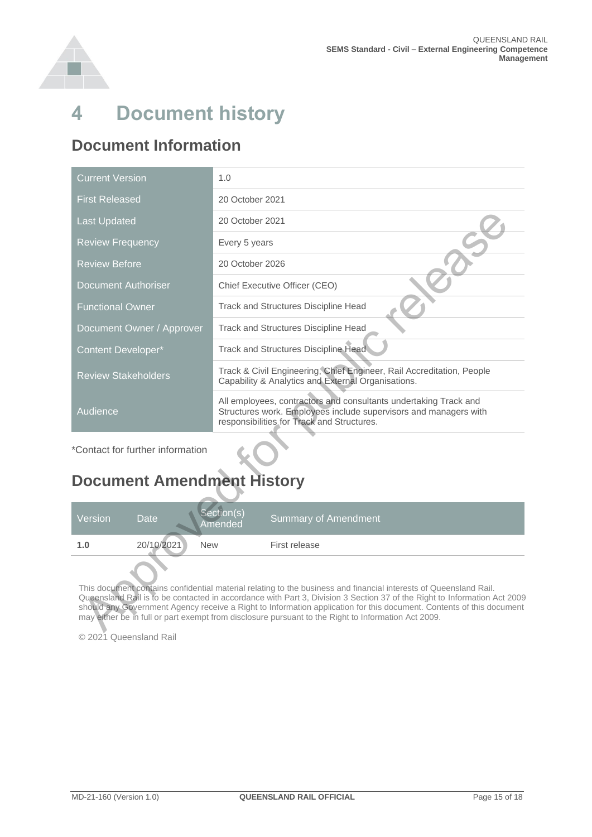

### <span id="page-14-0"></span>**4 Document history**

#### **Document Information**

| <b>Current Version</b>           | 1.0                                                                                                                                                                                |  |  |  |  |
|----------------------------------|------------------------------------------------------------------------------------------------------------------------------------------------------------------------------------|--|--|--|--|
| <b>First Released</b>            | 20 October 2021                                                                                                                                                                    |  |  |  |  |
| <b>Last Updated</b>              | 20 October 2021                                                                                                                                                                    |  |  |  |  |
| <b>Review Frequency</b>          | Every 5 years                                                                                                                                                                      |  |  |  |  |
| <b>Review Before</b>             | 20 October 2026                                                                                                                                                                    |  |  |  |  |
| <b>Document Authoriser</b>       | Chief Executive Officer (CEO)                                                                                                                                                      |  |  |  |  |
| <b>Functional Owner</b>          | Track and Structures Discipline Head                                                                                                                                               |  |  |  |  |
| Document Owner / Approver        | Track and Structures Discipline Head                                                                                                                                               |  |  |  |  |
| <b>Content Developer*</b>        | Track and Structures Discipline Head.                                                                                                                                              |  |  |  |  |
| <b>Review Stakeholders</b>       | Track & Civil Engineering, Chief Engineer, Rail Accreditation, People<br>Capability & Analytics and External Organisations.                                                        |  |  |  |  |
| Audience                         | All employees, contractors and consultants undertaking Track and<br>Structures work. Employees include supervisors and managers with<br>responsibilities for Track and Structures. |  |  |  |  |
| *Contact for further information |                                                                                                                                                                                    |  |  |  |  |
|                                  |                                                                                                                                                                                    |  |  |  |  |

#### **Document Amendment History**

| <b>Document Amendment History</b>                                                                                                                                                                                                                                                                                                                                                                                                                                            |             |                       |                             |  |  |
|------------------------------------------------------------------------------------------------------------------------------------------------------------------------------------------------------------------------------------------------------------------------------------------------------------------------------------------------------------------------------------------------------------------------------------------------------------------------------|-------------|-----------------------|-----------------------------|--|--|
| Version                                                                                                                                                                                                                                                                                                                                                                                                                                                                      | <b>Date</b> | Section(s)<br>Amended | <b>Summary of Amendment</b> |  |  |
| 1.0                                                                                                                                                                                                                                                                                                                                                                                                                                                                          | 20/10/2021  | <b>New</b>            | First release               |  |  |
| This document contains confidential material relating to the business and financial interests of Queensland Rail.<br>Queensland Rail is to be contacted in accordance with Part 3, Division 3 Section 37 of the Right to Information Act 2009<br>should any Government Agency receive a Right to Information application for this document. Contents of this document<br>may either be in full or part exempt from disclosure pursuant to the Right to Information Act 2009. |             |                       |                             |  |  |

© 2021 Queensland Rail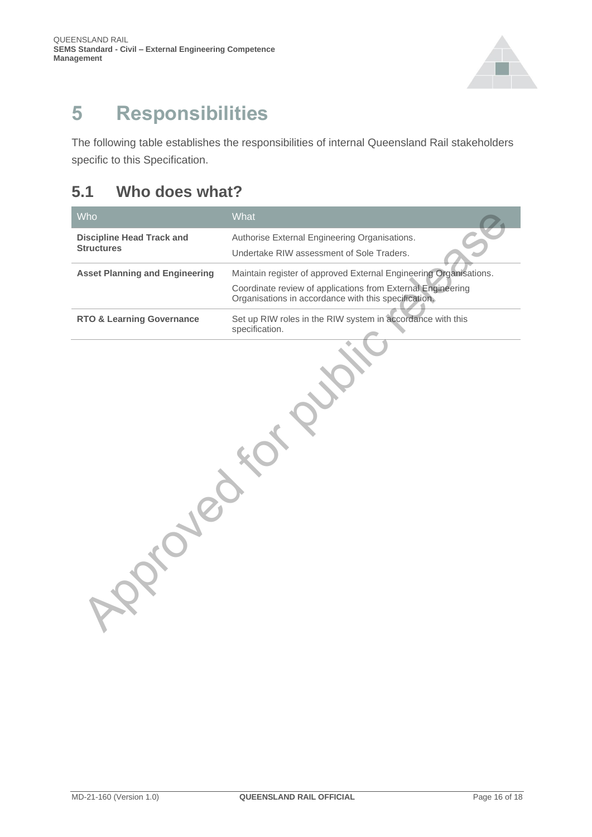

### <span id="page-15-0"></span>**5 Responsibilities**

The following table establishes the responsibilities of internal Queensland Rail stakeholders specific to this Specification.

#### <span id="page-15-1"></span>**5.1 Who does what?**

| Who                                                   | What                                                                                                                                                                                     |  |  |  |  |
|-------------------------------------------------------|------------------------------------------------------------------------------------------------------------------------------------------------------------------------------------------|--|--|--|--|
| <b>Discipline Head Track and</b><br><b>Structures</b> | Authorise External Engineering Organisations.<br>Undertake RIW assessment of Sole Traders.                                                                                               |  |  |  |  |
| <b>Asset Planning and Engineering</b>                 | Maintain register of approved External Engineering Organisations.<br>Coordinate review of applications from External Engineering<br>Organisations in accordance with this specification. |  |  |  |  |
| <b>RTO &amp; Learning Governance</b>                  | Set up RIW roles in the RIW system in accordance with this<br>specification.                                                                                                             |  |  |  |  |
|                                                       |                                                                                                                                                                                          |  |  |  |  |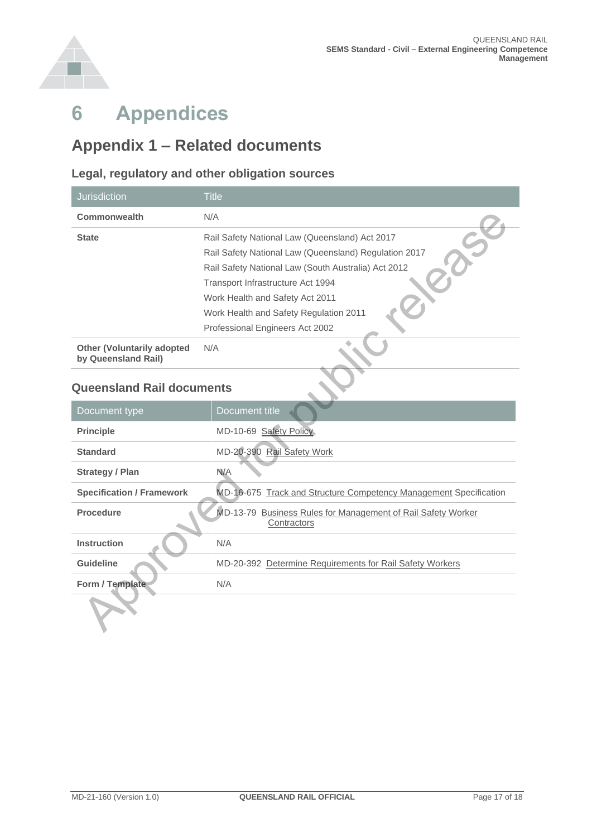

## <span id="page-16-0"></span>**6 Appendices**

#### <span id="page-16-1"></span>**Appendix 1 – Related documents**

#### **Legal, regulatory and other obligation sources**

| <b>Jurisdiction</b>                               | <b>Title</b>                                                                                                                                                                                                                                                                                                               |
|---------------------------------------------------|----------------------------------------------------------------------------------------------------------------------------------------------------------------------------------------------------------------------------------------------------------------------------------------------------------------------------|
| <b>Commonwealth</b>                               | N/A                                                                                                                                                                                                                                                                                                                        |
| <b>State</b><br><b>Other (Voluntarily adopted</b> | Rail Safety National Law (Queensland) Act 2017<br>Rail Safety National Law (Queensland) Regulation 2017<br>Rail Safety National Law (South Australia) Act 2012<br>Transport Infrastructure Act 1994<br>Work Health and Safety Act 2011<br>Work Health and Safety Regulation 2011<br>Professional Engineers Act 2002<br>N/A |
| by Queensland Rail)                               |                                                                                                                                                                                                                                                                                                                            |
| <b>Queensland Rail documents</b>                  |                                                                                                                                                                                                                                                                                                                            |
| Document type                                     | Document title                                                                                                                                                                                                                                                                                                             |
| <b>Principle</b>                                  | MD-10-69 Safety Policy                                                                                                                                                                                                                                                                                                     |
| <b>Standard</b>                                   | MD-20-390 Rail Safety Work                                                                                                                                                                                                                                                                                                 |
| <b>Strategy / Plan</b>                            | N/A                                                                                                                                                                                                                                                                                                                        |
| <b>Specification / Framework</b>                  | MD-16-675 Track and Structure Competency Management Specification                                                                                                                                                                                                                                                          |
| <b>Procedure</b>                                  | MD-13-79 Business Rules for Management of Rail Safety Worker<br>Contractors                                                                                                                                                                                                                                                |
| <b>Instruction</b>                                | N/A                                                                                                                                                                                                                                                                                                                        |
| <b>Guideline</b>                                  | MD-20-392 Determine Requirements for Rail Safety Workers                                                                                                                                                                                                                                                                   |
| Form / Template                                   | N/A                                                                                                                                                                                                                                                                                                                        |
|                                                   |                                                                                                                                                                                                                                                                                                                            |